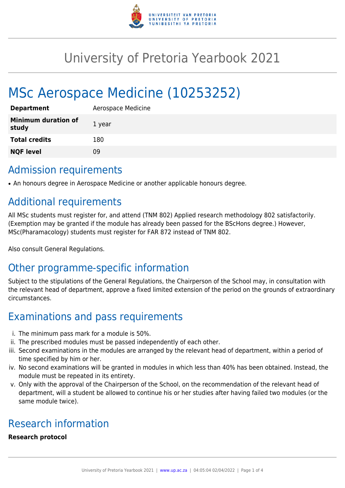

# University of Pretoria Yearbook 2021

# MSc Aerospace Medicine (10253252)

| <b>Department</b>                   | Aerospace Medicine |
|-------------------------------------|--------------------|
| <b>Minimum duration of</b><br>study | 1 year             |
| <b>Total credits</b>                | 180                |
| <b>NQF level</b>                    | 09                 |

### Admission requirements

• An honours degree in Aerospace Medicine or another applicable honours degree.

# Additional requirements

All MSc students must register for, and attend (TNM 802) Applied research methodology 802 satisfactorily. (Exemption may be granted if the module has already been passed for the BScHons degree.) However, MSc(Pharamacology) students must register for FAR 872 instead of TNM 802.

Also consult General Regulations.

# Other programme-specific information

Subject to the stipulations of the General Regulations, the Chairperson of the School may, in consultation with the relevant head of department, approve a fixed limited extension of the period on the grounds of extraordinary circumstances.

# Examinations and pass requirements

- i. The minimum pass mark for a module is 50%.
- ii. The prescribed modules must be passed independently of each other.
- iii. Second examinations in the modules are arranged by the relevant head of department, within a period of time specified by him or her.
- iv. No second examinations will be granted in modules in which less than 40% has been obtained. Instead, the module must be repeated in its entirety.
- v. Only with the approval of the Chairperson of the School, on the recommendation of the relevant head of department, will a student be allowed to continue his or her studies after having failed two modules (or the same module twice).

# Research information

### **Research protocol**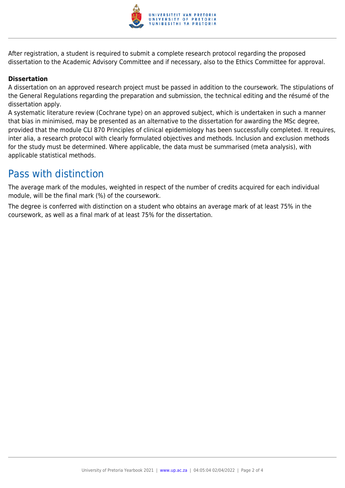

After registration, a student is required to submit a complete research protocol regarding the proposed dissertation to the Academic Advisory Committee and if necessary, also to the Ethics Committee for approval.

#### **Dissertation**

A dissertation on an approved research project must be passed in addition to the coursework. The stipulations of the General Regulations regarding the preparation and submission, the technical editing and the résumé of the dissertation apply.

A systematic literature review (Cochrane type) on an approved subject, which is undertaken in such a manner that bias in minimised, may be presented as an alternative to the dissertation for awarding the MSc degree, provided that the module CLI 870 Principles of clinical epidemiology has been successfully completed. It requires, inter alia, a research protocol with clearly formulated objectives and methods. Inclusion and exclusion methods for the study must be determined. Where applicable, the data must be summarised (meta analysis), with applicable statistical methods.

### Pass with distinction

The average mark of the modules, weighted in respect of the number of credits acquired for each individual module, will be the final mark (%) of the coursework.

The degree is conferred with distinction on a student who obtains an average mark of at least 75% in the coursework, as well as a final mark of at least 75% for the dissertation.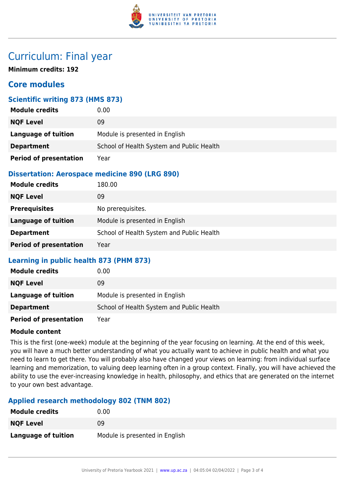

### Curriculum: Final year

**Minimum credits: 192**

### **Core modules**

### **Scientific writing 873 (HMS 873)**

| <b>Module credits</b>         | 0.00                                      |
|-------------------------------|-------------------------------------------|
| <b>NQF Level</b>              | 09                                        |
| Language of tuition           | Module is presented in English            |
| <b>Department</b>             | School of Health System and Public Health |
| <b>Period of presentation</b> | Year                                      |

### **Dissertation: Aerospace medicine 890 (LRG 890)**

| <b>Module credits</b>         | 180.00                                    |
|-------------------------------|-------------------------------------------|
| <b>NQF Level</b>              | 09                                        |
| <b>Prerequisites</b>          | No prerequisites.                         |
| Language of tuition           | Module is presented in English            |
| <b>Department</b>             | School of Health System and Public Health |
| <b>Period of presentation</b> | Year                                      |

### **Learning in public health 873 (PHM 873)**

| <b>Module credits</b>         | 0.00                                      |
|-------------------------------|-------------------------------------------|
| <b>NQF Level</b>              | 09                                        |
| Language of tuition           | Module is presented in English            |
| <b>Department</b>             | School of Health System and Public Health |
| <b>Period of presentation</b> | Year                                      |

#### **Module content**

This is the first (one-week) module at the beginning of the year focusing on learning. At the end of this week, you will have a much better understanding of what you actually want to achieve in public health and what you need to learn to get there. You will probably also have changed your views on learning: from individual surface learning and memorization, to valuing deep learning often in a group context. Finally, you will have achieved the ability to use the ever-increasing knowledge in health, philosophy, and ethics that are generated on the internet to your own best advantage.

### **Applied research methodology 802 (TNM 802)**

| <b>Module credits</b> | 0.00                           |
|-----------------------|--------------------------------|
| <b>NQF Level</b>      | 09                             |
| Language of tuition   | Module is presented in English |